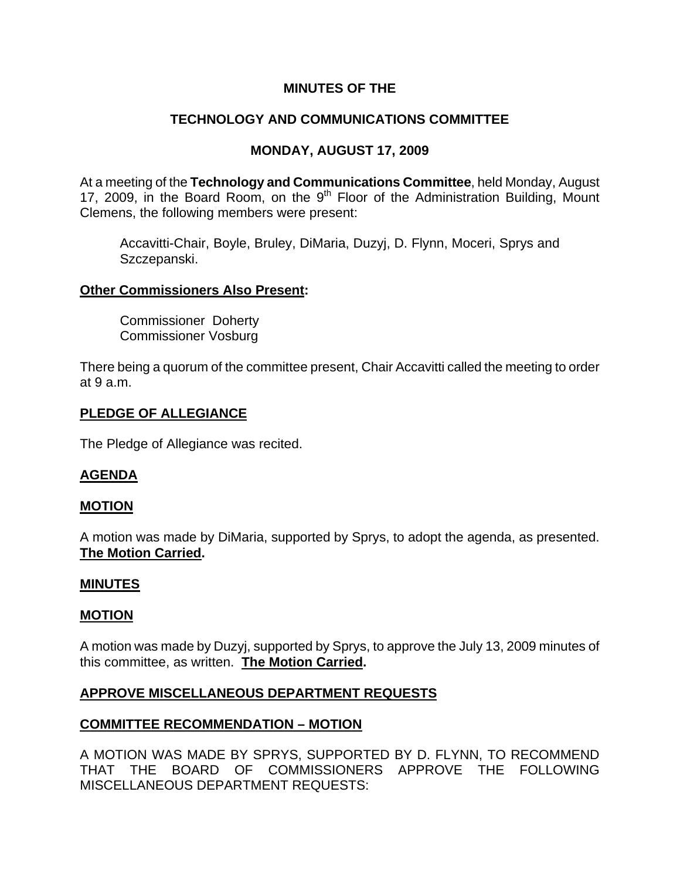## **MINUTES OF THE**

# **TECHNOLOGY AND COMMUNICATIONS COMMITTEE**

# **MONDAY, AUGUST 17, 2009**

At a meeting of the **Technology and Communications Committee**, held Monday, August 17, 2009, in the Board Room, on the  $9<sup>th</sup>$  Floor of the Administration Building, Mount Clemens, the following members were present:

Accavitti-Chair, Boyle, Bruley, DiMaria, Duzyj, D. Flynn, Moceri, Sprys and Szczepanski.

## **Other Commissioners Also Present:**

Commissioner Doherty Commissioner Vosburg

There being a quorum of the committee present, Chair Accavitti called the meeting to order at 9 a.m.

## **PLEDGE OF ALLEGIANCE**

The Pledge of Allegiance was recited.

## **AGENDA**

## **MOTION**

A motion was made by DiMaria, supported by Sprys, to adopt the agenda, as presented. **The Motion Carried.** 

### **MINUTES**

### **MOTION**

A motion was made by Duzyj, supported by Sprys, to approve the July 13, 2009 minutes of this committee, as written. **The Motion Carried.** 

## **APPROVE MISCELLANEOUS DEPARTMENT REQUESTS**

### **COMMITTEE RECOMMENDATION – MOTION**

A MOTION WAS MADE BY SPRYS, SUPPORTED BY D. FLYNN, TO RECOMMEND THAT THE BOARD OF COMMISSIONERS APPROVE THE FOLLOWING MISCELLANEOUS DEPARTMENT REQUESTS: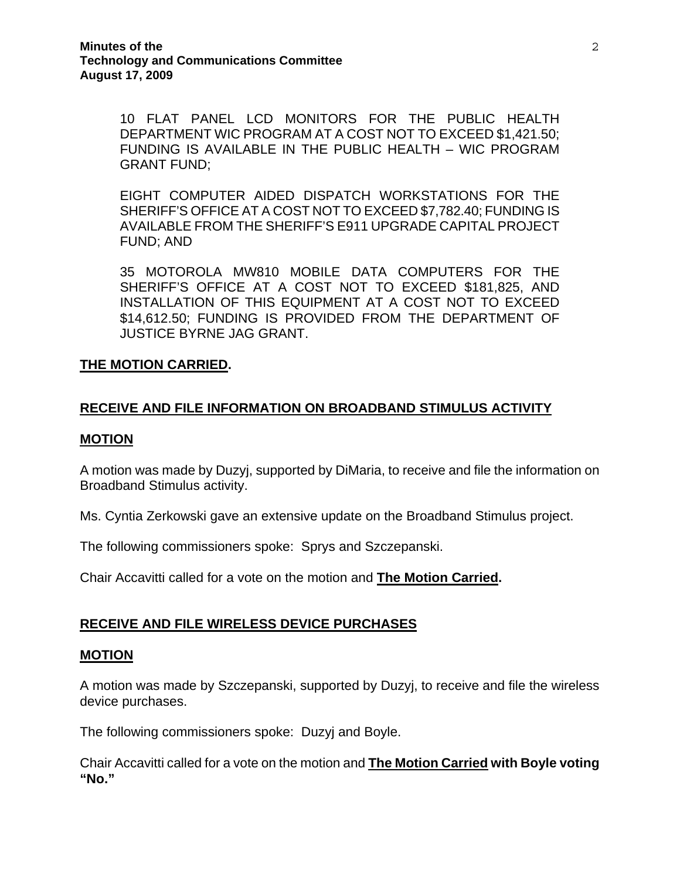10 FLAT PANEL LCD MONITORS FOR THE PUBLIC HEALTH DEPARTMENT WIC PROGRAM AT A COST NOT TO EXCEED \$1,421.50; FUNDING IS AVAILABLE IN THE PUBLIC HEALTH – WIC PROGRAM GRANT FUND;

EIGHT COMPUTER AIDED DISPATCH WORKSTATIONS FOR THE SHERIFF'S OFFICE AT A COST NOT TO EXCEED \$7,782.40; FUNDING IS AVAILABLE FROM THE SHERIFF'S E911 UPGRADE CAPITAL PROJECT FUND; AND

35 MOTOROLA MW810 MOBILE DATA COMPUTERS FOR THE SHERIFF'S OFFICE AT A COST NOT TO EXCEED \$181,825, AND INSTALLATION OF THIS EQUIPMENT AT A COST NOT TO EXCEED \$14,612.50; FUNDING IS PROVIDED FROM THE DEPARTMENT OF JUSTICE BYRNE JAG GRANT.

### **THE MOTION CARRIED.**

### **RECEIVE AND FILE INFORMATION ON BROADBAND STIMULUS ACTIVITY**

#### **MOTION**

A motion was made by Duzyj, supported by DiMaria, to receive and file the information on Broadband Stimulus activity.

Ms. Cyntia Zerkowski gave an extensive update on the Broadband Stimulus project.

The following commissioners spoke: Sprys and Szczepanski.

Chair Accavitti called for a vote on the motion and **The Motion Carried.** 

### **RECEIVE AND FILE WIRELESS DEVICE PURCHASES**

#### **MOTION**

A motion was made by Szczepanski, supported by Duzyj, to receive and file the wireless device purchases.

The following commissioners spoke: Duzyj and Boyle.

Chair Accavitti called for a vote on the motion and **The Motion Carried with Boyle voting "No."**